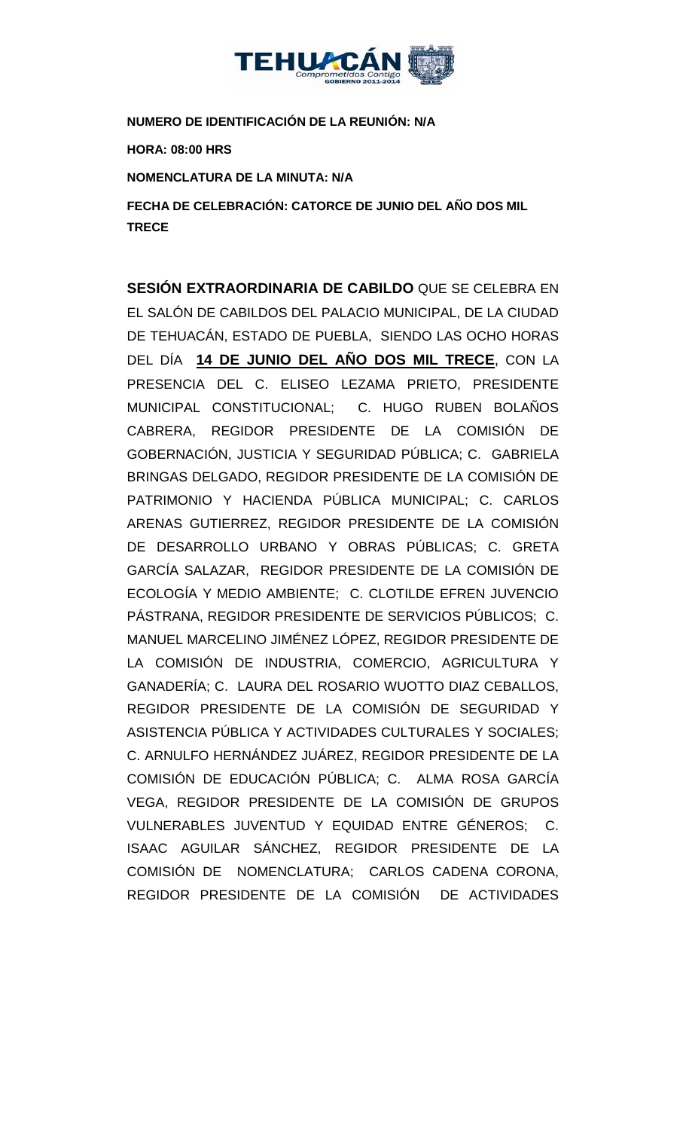

**NUMERO DE IDENTIFICACIÓN DE LA REUNIÓN: N/A**

**HORA: 08:00 HRS**

**NOMENCLATURA DE LA MINUTA: N/A**

**FECHA DE CELEBRACIÓN: CATORCE DE JUNIO DEL AÑO DOS MIL TRECE** 

**SESIÓN EXTRAORDINARIA DE CABILDO** QUE SE CELEBRA EN EL SALÓN DE CABILDOS DEL PALACIO MUNICIPAL, DE LA CIUDAD DE TEHUACÁN, ESTADO DE PUEBLA, SIENDO LAS OCHO HORAS DEL DÍA **14 DE JUNIO DEL AÑO DOS MIL TRECE**, CON LA PRESENCIA DEL C. ELISEO LEZAMA PRIETO, PRESIDENTE MUNICIPAL CONSTITUCIONAL; C. HUGO RUBEN BOLAÑOS CABRERA, REGIDOR PRESIDENTE DE LA COMISIÓN DE GOBERNACIÓN, JUSTICIA Y SEGURIDAD PÚBLICA; C. GABRIELA BRINGAS DELGADO, REGIDOR PRESIDENTE DE LA COMISIÓN DE PATRIMONIO Y HACIENDA PÚBLICA MUNICIPAL; C. CARLOS ARENAS GUTIERREZ, REGIDOR PRESIDENTE DE LA COMISIÓN DE DESARROLLO URBANO Y OBRAS PÚBLICAS; C. GRETA GARCÍA SALAZAR, REGIDOR PRESIDENTE DE LA COMISIÓN DE ECOLOGÍA Y MEDIO AMBIENTE; C. CLOTILDE EFREN JUVENCIO PÁSTRANA, REGIDOR PRESIDENTE DE SERVICIOS PÚBLICOS; C. MANUEL MARCELINO JIMÉNEZ LÓPEZ, REGIDOR PRESIDENTE DE LA COMISIÓN DE INDUSTRIA, COMERCIO, AGRICULTURA Y GANADERÍA; C. LAURA DEL ROSARIO WUOTTO DIAZ CEBALLOS, REGIDOR PRESIDENTE DE LA COMISIÓN DE SEGURIDAD Y ASISTENCIA PÚBLICA Y ACTIVIDADES CULTURALES Y SOCIALES; C. ARNULFO HERNÁNDEZ JUÁREZ, REGIDOR PRESIDENTE DE LA COMISIÓN DE EDUCACIÓN PÚBLICA; C. ALMA ROSA GARCÍA VEGA, REGIDOR PRESIDENTE DE LA COMISIÓN DE GRUPOS VULNERABLES JUVENTUD Y EQUIDAD ENTRE GÉNEROS; C. ISAAC AGUILAR SÁNCHEZ, REGIDOR PRESIDENTE DE LA COMISIÓN DE NOMENCLATURA; CARLOS CADENA CORONA, REGIDOR PRESIDENTE DE LA COMISIÓN DE ACTIVIDADES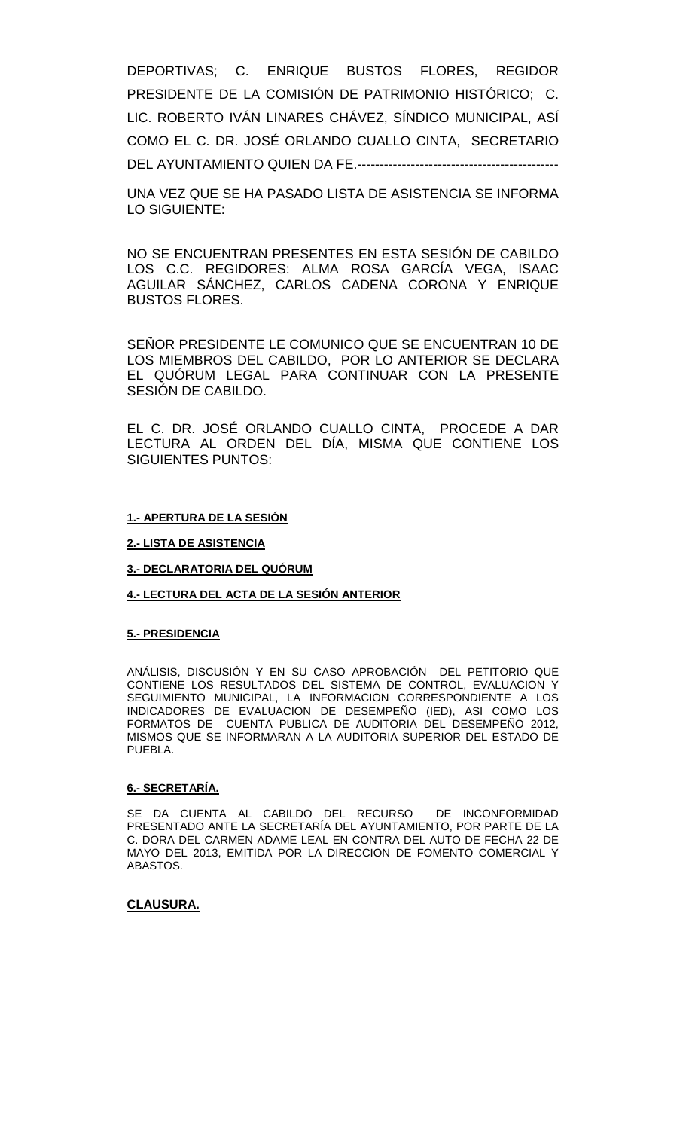DEPORTIVAS; C. ENRIQUE BUSTOS FLORES, REGIDOR PRESIDENTE DE LA COMISIÓN DE PATRIMONIO HISTÓRICO; C. LIC. ROBERTO IVÁN LINARES CHÁVEZ, SÍNDICO MUNICIPAL, ASÍ COMO EL C. DR. JOSÉ ORLANDO CUALLO CINTA, SECRETARIO DEL AYUNTAMIENTO QUIEN DA FE.---------------------------------------------

UNA VEZ QUE SE HA PASADO LISTA DE ASISTENCIA SE INFORMA LO SIGUIENTE:

NO SE ENCUENTRAN PRESENTES EN ESTA SESIÓN DE CABILDO LOS C.C. REGIDORES: ALMA ROSA GARCÍA VEGA, ISAAC AGUILAR SÁNCHEZ, CARLOS CADENA CORONA Y ENRIQUE BUSTOS FLORES.

SEÑOR PRESIDENTE LE COMUNICO QUE SE ENCUENTRAN 10 DE LOS MIEMBROS DEL CABILDO, POR LO ANTERIOR SE DECLARA EL QUÓRUM LEGAL PARA CONTINUAR CON LA PRESENTE SESIÓN DE CABILDO.

EL C. DR. JOSÉ ORLANDO CUALLO CINTA, PROCEDE A DAR LECTURA AL ORDEN DEL DÍA, MISMA QUE CONTIENE LOS SIGUIENTES PUNTOS:

### **1.- APERTURA DE LA SESIÓN**

### **2.- LISTA DE ASISTENCIA**

#### **3.- DECLARATORIA DEL QUÓRUM**

#### **4.- LECTURA DEL ACTA DE LA SESIÓN ANTERIOR**

#### **5.- PRESIDENCIA**

ANÁLISIS, DISCUSIÓN Y EN SU CASO APROBACIÓN DEL PETITORIO QUE CONTIENE LOS RESULTADOS DEL SISTEMA DE CONTROL, EVALUACION Y SEGUIMIENTO MUNICIPAL, LA INFORMACION CORRESPONDIENTE A LOS INDICADORES DE EVALUACION DE DESEMPEÑO (IED), ASI COMO LOS FORMATOS DE CUENTA PUBLICA DE AUDITORIA DEL DESEMPEÑO 2012, MISMOS QUE SE INFORMARAN A LA AUDITORIA SUPERIOR DEL ESTADO DE PUEBLA.

#### **6.- SECRETARÍA.**

SE DA CUENTA AL CABILDO DEL RECURSO DE INCONFORMIDAD PRESENTADO ANTE LA SECRETARÍA DEL AYUNTAMIENTO, POR PARTE DE LA C. DORA DEL CARMEN ADAME LEAL EN CONTRA DEL AUTO DE FECHA 22 DE MAYO DEL 2013, EMITIDA POR LA DIRECCION DE FOMENTO COMERCIAL Y ABASTOS.

## **CLAUSURA.**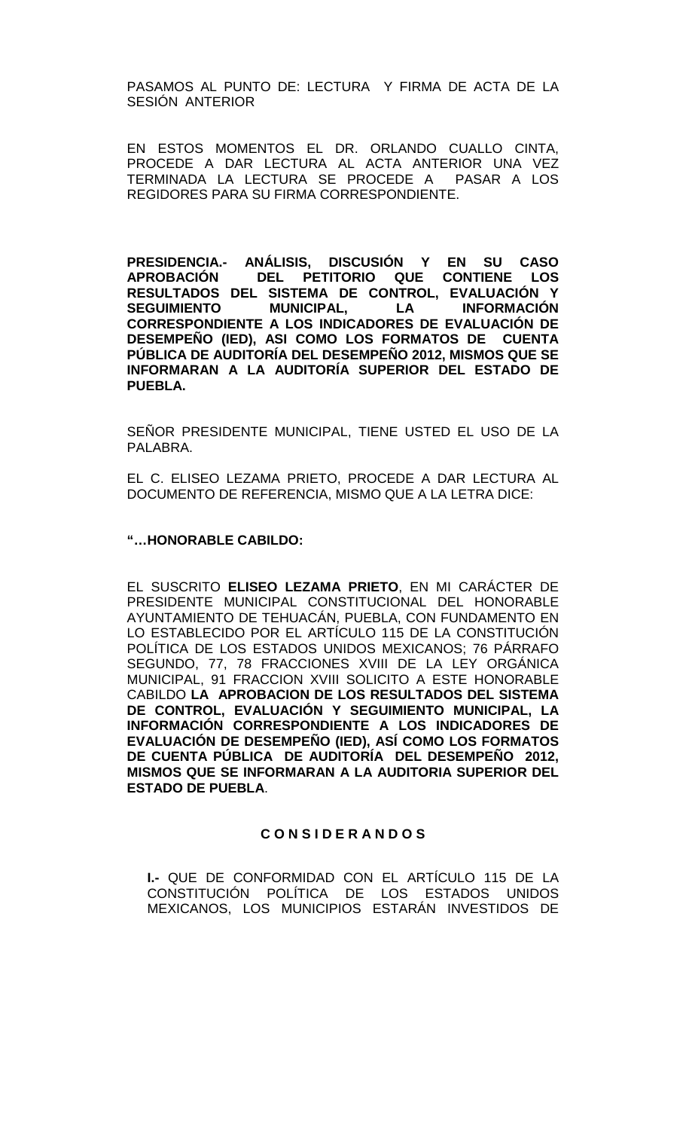PASAMOS AL PUNTO DE: LECTURA Y FIRMA DE ACTA DE LA SESIÓN ANTERIOR

EN ESTOS MOMENTOS EL DR. ORLANDO CUALLO CINTA, PROCEDE A DAR LECTURA AL ACTA ANTERIOR UNA VEZ TERMINADA LA LECTURA SE PROCEDE A PASAR A LOS REGIDORES PARA SU FIRMA CORRESPONDIENTE.

**PRESIDENCIA.- ANÁLISIS, DISCUSIÓN Y EN SU CASO**  DEL PETITORIO QUE CONTIENE LOS **RESULTADOS DEL SISTEMA DE CONTROL, EVALUACIÓN Y SEGUIMIENTO MUNICIPAL, LA INFORMACIÓN CORRESPONDIENTE A LOS INDICADORES DE EVALUACIÓN DE DESEMPEÑO (IED), ASI COMO LOS FORMATOS DE CUENTA PÚBLICA DE AUDITORÍA DEL DESEMPEÑO 2012, MISMOS QUE SE INFORMARAN A LA AUDITORÍA SUPERIOR DEL ESTADO DE PUEBLA.**

SEÑOR PRESIDENTE MUNICIPAL, TIENE USTED EL USO DE LA PALABRA.

EL C. ELISEO LEZAMA PRIETO, PROCEDE A DAR LECTURA AL DOCUMENTO DE REFERENCIA, MISMO QUE A LA LETRA DICE:

## **"…HONORABLE CABILDO:**

EL SUSCRITO **ELISEO LEZAMA PRIETO**, EN MI CARÁCTER DE PRESIDENTE MUNICIPAL CONSTITUCIONAL DEL HONORABLE AYUNTAMIENTO DE TEHUACÁN, PUEBLA, CON FUNDAMENTO EN LO ESTABLECIDO POR EL ARTÍCULO 115 DE LA CONSTITUCIÓN POLÍTICA DE LOS ESTADOS UNIDOS MEXICANOS; 76 PÁRRAFO SEGUNDO, 77, 78 FRACCIONES XVIII DE LA LEY ORGÁNICA MUNICIPAL, 91 FRACCION XVIII SOLICITO A ESTE HONORABLE CABILDO **LA APROBACION DE LOS RESULTADOS DEL SISTEMA DE CONTROL, EVALUACIÓN Y SEGUIMIENTO MUNICIPAL, LA INFORMACIÓN CORRESPONDIENTE A LOS INDICADORES DE EVALUACIÓN DE DESEMPEÑO (IED), ASÍ COMO LOS FORMATOS DE CUENTA PÚBLICA DE AUDITORÍA DEL DESEMPEÑO 2012, MISMOS QUE SE INFORMARAN A LA AUDITORIA SUPERIOR DEL ESTADO DE PUEBLA**.

## **C O N S I D E R A N D O S**

**I.-** QUE DE CONFORMIDAD CON EL ARTÍCULO 115 DE LA CONSTITUCIÓN POLÍTICA DE LOS ESTADOS UNIDOS MEXICANOS, LOS MUNICIPIOS ESTARÁN INVESTIDOS DE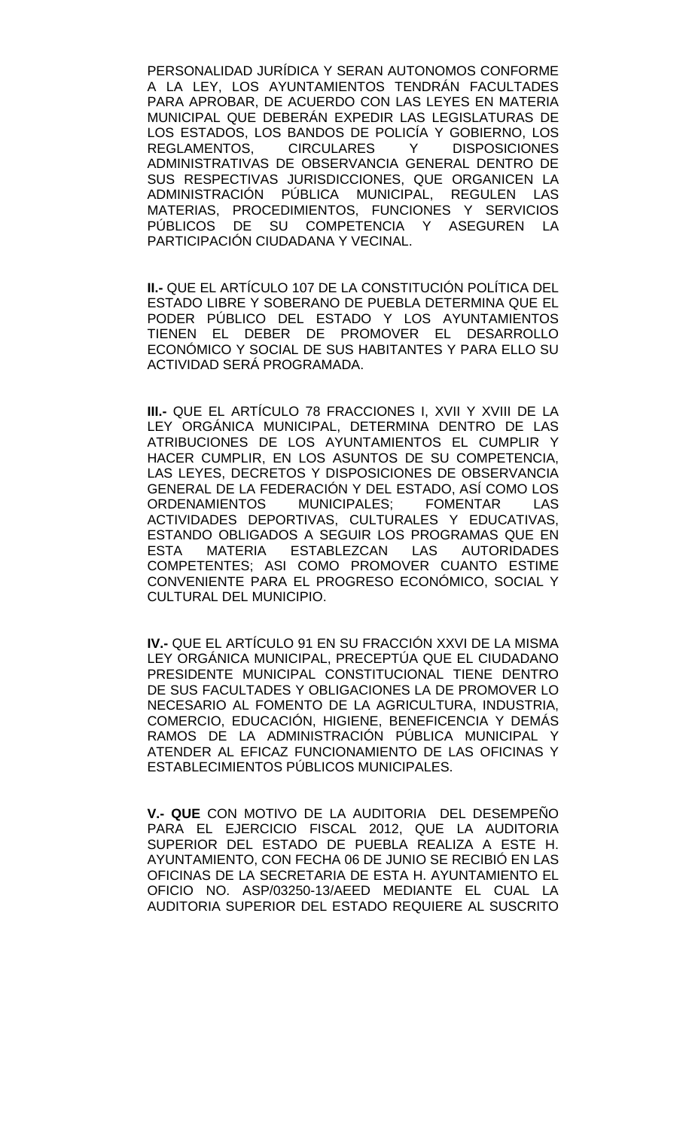PERSONALIDAD JURÍDICA Y SERAN AUTONOMOS CONFORME A LA LEY, LOS AYUNTAMIENTOS TENDRÁN FACULTADES PARA APROBAR, DE ACUERDO CON LAS LEYES EN MATERIA MUNICIPAL QUE DEBERÁN EXPEDIR LAS LEGISLATURAS DE LOS ESTADOS, LOS BANDOS DE POLICÍA Y GOBIERNO, LOS<br>REGLAMENTOS. CIRCULARES Y DISPOSICIONES REGLAMENTOS, CIRCULARES Y ADMINISTRATIVAS DE OBSERVANCIA GENERAL DENTRO DE SUS RESPECTIVAS JURISDICCIONES, QUE ORGANICEN LA ADMINISTRACIÓN PÚBLICA MUNICIPAL, REGULEN LAS MATERIAS, PROCEDIMIENTOS, FUNCIONES Y SERVICIOS PÚBLICOS DE SU COMPETENCIA Y ASEGUREN LA PARTICIPACIÓN CIUDADANA Y VECINAL.

**II.-** QUE EL ARTÍCULO 107 DE LA CONSTITUCIÓN POLÍTICA DEL ESTADO LIBRE Y SOBERANO DE PUEBLA DETERMINA QUE EL PODER PÚBLICO DEL ESTADO Y LOS AYUNTAMIENTOS TIENEN EL DEBER DE PROMOVER EL DESARROLLO ECONÓMICO Y SOCIAL DE SUS HABITANTES Y PARA ELLO SU ACTIVIDAD SERÁ PROGRAMADA.

**III.-** QUE EL ARTÍCULO 78 FRACCIONES I, XVII Y XVIII DE LA LEY ORGÁNICA MUNICIPAL, DETERMINA DENTRO DE LAS ATRIBUCIONES DE LOS AYUNTAMIENTOS EL CUMPLIR Y HACER CUMPLIR, EN LOS ASUNTOS DE SU COMPETENCIA, LAS LEYES, DECRETOS Y DISPOSICIONES DE OBSERVANCIA GENERAL DE LA FEDERACIÓN Y DEL ESTADO, ASÍ COMO LOS ORDENAMIENTOS MUNICIPALES; FOMENTAR LAS ACTIVIDADES DEPORTIVAS, CULTURALES Y EDUCATIVAS, ESTANDO OBLIGADOS A SEGUIR LOS PROGRAMAS QUE EN<br>ESTA MATERIA ESTABLEZCAN LAS AUTORIDADES ESTABLEZCAN COMPETENTES; ASI COMO PROMOVER CUANTO ESTIME CONVENIENTE PARA EL PROGRESO ECONÓMICO, SOCIAL Y CULTURAL DEL MUNICIPIO.

**IV.-** QUE EL ARTÍCULO 91 EN SU FRACCIÓN XXVI DE LA MISMA LEY ORGÁNICA MUNICIPAL, PRECEPTÚA QUE EL CIUDADANO PRESIDENTE MUNICIPAL CONSTITUCIONAL TIENE DENTRO DE SUS FACULTADES Y OBLIGACIONES LA DE PROMOVER LO NECESARIO AL FOMENTO DE LA AGRICULTURA, INDUSTRIA, COMERCIO, EDUCACIÓN, HIGIENE, BENEFICENCIA Y DEMÁS RAMOS DE LA ADMINISTRACIÓN PÚBLICA MUNICIPAL Y ATENDER AL EFICAZ FUNCIONAMIENTO DE LAS OFICINAS Y ESTABLECIMIENTOS PÚBLICOS MUNICIPALES.

**V.- QUE** CON MOTIVO DE LA AUDITORIA DEL DESEMPEÑO PARA EL EJERCICIO FISCAL 2012, QUE LA AUDITORIA SUPERIOR DEL ESTADO DE PUEBLA REALIZA A ESTE H. AYUNTAMIENTO, CON FECHA 06 DE JUNIO SE RECIBIÓ EN LAS OFICINAS DE LA SECRETARIA DE ESTA H. AYUNTAMIENTO EL OFICIO NO. ASP/03250-13/AEED MEDIANTE EL CUAL LA AUDITORIA SUPERIOR DEL ESTADO REQUIERE AL SUSCRITO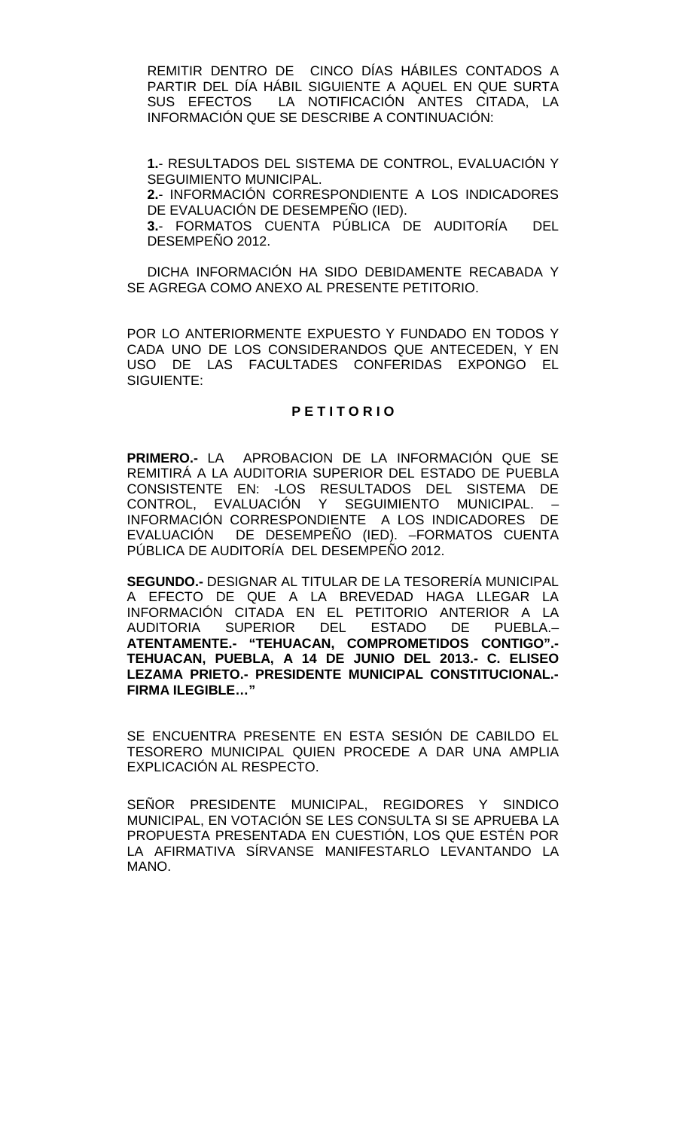REMITIR DENTRO DE CINCO DÍAS HÁBILES CONTADOS A PARTIR DEL DÍA HÁBIL SIGUIENTE A AQUEL EN QUE SURTA SUS EFECTOS LA NOTIFICACIÓN ANTES CITADA, LA INFORMACIÓN QUE SE DESCRIBE A CONTINUACIÓN:

**1.**- RESULTADOS DEL SISTEMA DE CONTROL, EVALUACIÓN Y SEGUIMIENTO MUNICIPAL. **2.**- INFORMACIÓN CORRESPONDIENTE A LOS INDICADORES DE EVALUACIÓN DE DESEMPEÑO (IED). **3.**- FORMATOS CUENTA PÚBLICA DE AUDITORÍA DEL DESEMPEÑO 2012.

DICHA INFORMACIÓN HA SIDO DEBIDAMENTE RECABADA Y SE AGREGA COMO ANEXO AL PRESENTE PETITORIO.

POR LO ANTERIORMENTE EXPUESTO Y FUNDADO EN TODOS Y CADA UNO DE LOS CONSIDERANDOS QUE ANTECEDEN, Y EN USO DE LAS FACULTADES CONFERIDAS EXPONGO EL SIGUIENTE:

## **P E T I T O R I O**

**PRIMERO.-** LA APROBACION DE LA INFORMACIÓN QUE SE REMITIRÁ A LA AUDITORIA SUPERIOR DEL ESTADO DE PUEBLA CONSISTENTE EN: -LOS RESULTADOS DEL SISTEMA DE CONTROL, EVALUACIÓN Y SEGUIMIENTO MUNICIPAL. – INFORMACIÓN CORRESPONDIENTE A LOS INDICADORES DE EVALUACIÓN DE DESEMPEÑO (IED). –FORMATOS CUENTA PÚBLICA DE AUDITORÍA DEL DESEMPEÑO 2012.

**SEGUNDO.-** DESIGNAR AL TITULAR DE LA TESORERÍA MUNICIPAL A EFECTO DE QUE A LA BREVEDAD HAGA LLEGAR LA INFORMACIÓN CITADA EN EL PETITORIO ANTERIOR A LA<br>AUDITORIA SUPERIOR DEL ESTADO DE PUEBLA.– AUDITORIA SUPERIOR DEL ESTADO DE **ATENTAMENTE.- "TEHUACAN, COMPROMETIDOS CONTIGO".- TEHUACAN, PUEBLA, A 14 DE JUNIO DEL 2013.- C. ELISEO LEZAMA PRIETO.- PRESIDENTE MUNICIPAL CONSTITUCIONAL.- FIRMA ILEGIBLE…"**

SE ENCUENTRA PRESENTE EN ESTA SESIÓN DE CABILDO EL TESORERO MUNICIPAL QUIEN PROCEDE A DAR UNA AMPLIA EXPLICACIÓN AL RESPECTO.

SEÑOR PRESIDENTE MUNICIPAL, REGIDORES Y SINDICO MUNICIPAL, EN VOTACIÓN SE LES CONSULTA SI SE APRUEBA LA PROPUESTA PRESENTADA EN CUESTIÓN, LOS QUE ESTÉN POR LA AFIRMATIVA SÍRVANSE MANIFESTARLO LEVANTANDO LA MANO.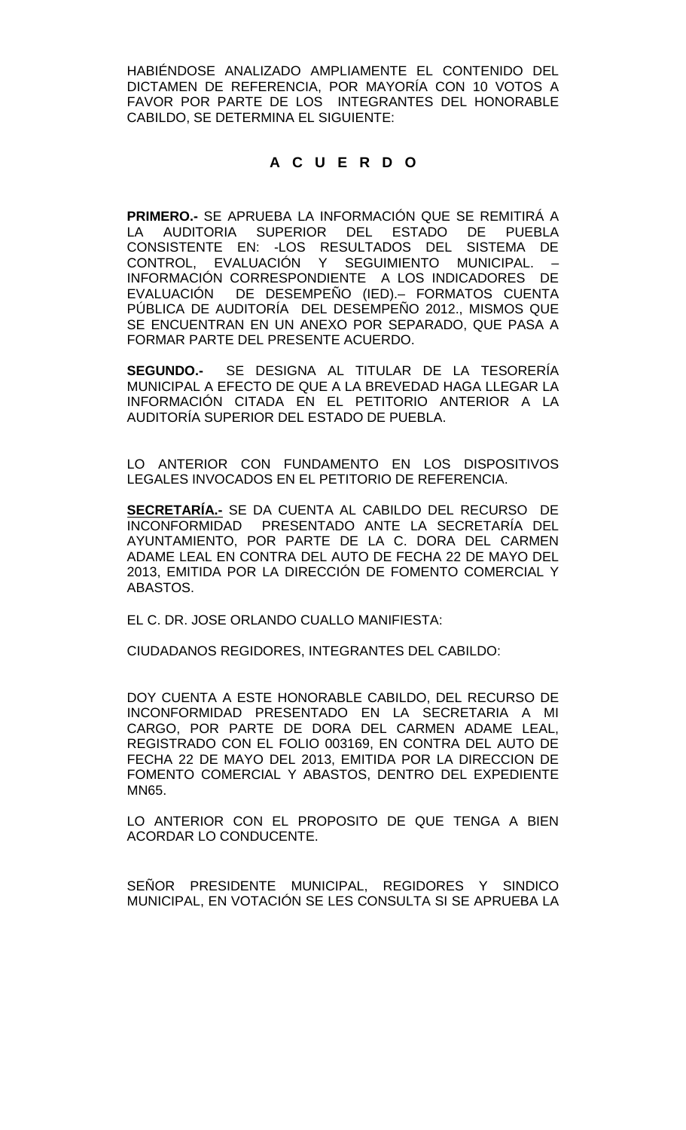HABIÉNDOSE ANALIZADO AMPLIAMENTE EL CONTENIDO DEL DICTAMEN DE REFERENCIA, POR MAYORÍA CON 10 VOTOS A FAVOR POR PARTE DE LOS INTEGRANTES DEL HONORABLE CABILDO, SE DETERMINA EL SIGUIENTE:

## **A C U E R D O**

**PRIMERO.-** SE APRUEBA LA INFORMACIÓN QUE SE REMITIRÁ A LA AUDITORIA SUPERIOR DEL ESTADO DE PUEBLA CONSISTENTE EN: -LOS RESULTADOS DEL SISTEMA DE CONTROL, EVALUACIÓN Y SEGUIMIENTO MUNICIPAL. – INFORMACIÓN CORRESPONDIENTE A LOS INDICADORES DE EVALUACIÓN DE DESEMPEÑO (IED).– FORMATOS CUENTA PÚBLICA DE AUDITORÍA DEL DESEMPEÑO 2012., MISMOS QUE SE ENCUENTRAN EN UN ANEXO POR SEPARADO, QUE PASA A FORMAR PARTE DEL PRESENTE ACUERDO.

**SEGUNDO.-** SE DESIGNA AL TITULAR DE LA TESORERÍA MUNICIPAL A EFECTO DE QUE A LA BREVEDAD HAGA LLEGAR LA INFORMACIÓN CITADA EN EL PETITORIO ANTERIOR A LA AUDITORÍA SUPERIOR DEL ESTADO DE PUEBLA.

LO ANTERIOR CON FUNDAMENTO EN LOS DISPOSITIVOS LEGALES INVOCADOS EN EL PETITORIO DE REFERENCIA.

**SECRETARÍA.-** SE DA CUENTA AL CABILDO DEL RECURSO DE INCONFORMIDAD PRESENTADO ANTE LA SECRETARÍA DEL AYUNTAMIENTO, POR PARTE DE LA C. DORA DEL CARMEN ADAME LEAL EN CONTRA DEL AUTO DE FECHA 22 DE MAYO DEL 2013, EMITIDA POR LA DIRECCIÓN DE FOMENTO COMERCIAL Y ABASTOS.

EL C. DR. JOSE ORLANDO CUALLO MANIFIESTA:

CIUDADANOS REGIDORES, INTEGRANTES DEL CABILDO:

DOY CUENTA A ESTE HONORABLE CABILDO, DEL RECURSO DE INCONFORMIDAD PRESENTADO EN LA SECRETARIA A MI CARGO, POR PARTE DE DORA DEL CARMEN ADAME LEAL, REGISTRADO CON EL FOLIO 003169, EN CONTRA DEL AUTO DE FECHA 22 DE MAYO DEL 2013, EMITIDA POR LA DIRECCION DE FOMENTO COMERCIAL Y ABASTOS, DENTRO DEL EXPEDIENTE MN65.

LO ANTERIOR CON EL PROPOSITO DE QUE TENGA A BIEN ACORDAR LO CONDUCENTE.

SEÑOR PRESIDENTE MUNICIPAL, REGIDORES Y SINDICO MUNICIPAL, EN VOTACIÓN SE LES CONSULTA SI SE APRUEBA LA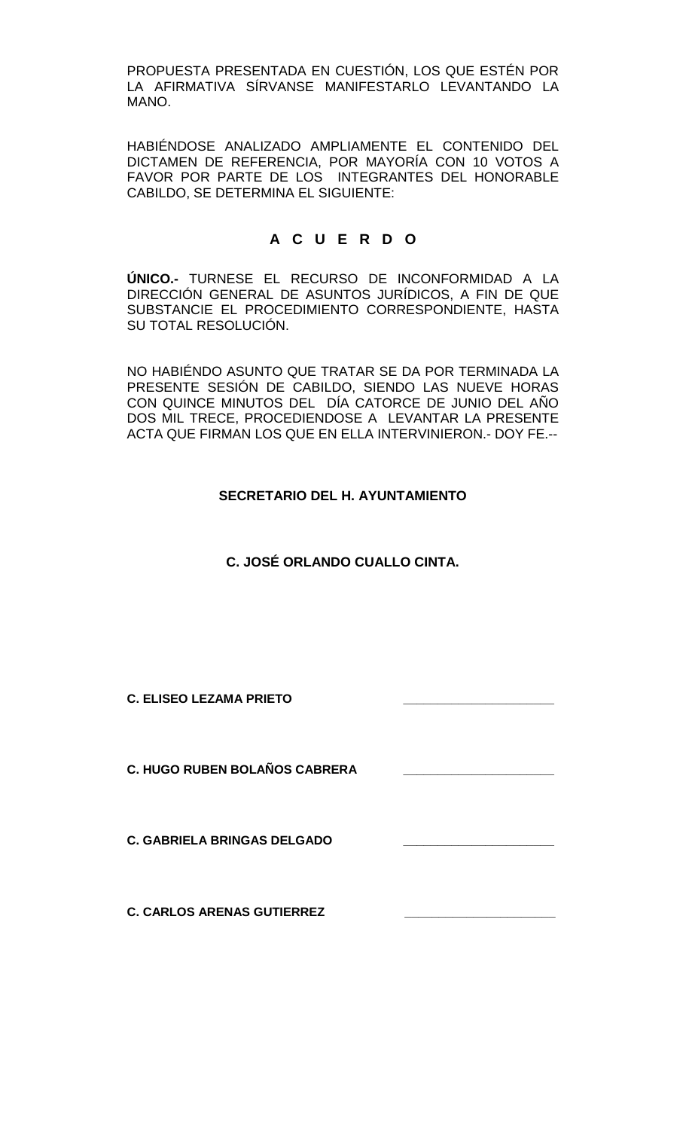PROPUESTA PRESENTADA EN CUESTIÓN, LOS QUE ESTÉN POR LA AFIRMATIVA SÍRVANSE MANIFESTARLO LEVANTANDO LA MANO.

HABIÉNDOSE ANALIZADO AMPLIAMENTE EL CONTENIDO DEL DICTAMEN DE REFERENCIA, POR MAYORÍA CON 10 VOTOS A FAVOR POR PARTE DE LOS INTEGRANTES DEL HONORABLE CABILDO, SE DETERMINA EL SIGUIENTE:

# **A C U E R D O**

**ÚNICO.-** TURNESE EL RECURSO DE INCONFORMIDAD A LA DIRECCIÓN GENERAL DE ASUNTOS JURÍDICOS, A FIN DE QUE SUBSTANCIE EL PROCEDIMIENTO CORRESPONDIENTE, HASTA SU TOTAL RESOLUCIÓN.

NO HABIÉNDO ASUNTO QUE TRATAR SE DA POR TERMINADA LA PRESENTE SESIÓN DE CABILDO, SIENDO LAS NUEVE HORAS CON QUINCE MINUTOS DEL DÍA CATORCE DE JUNIO DEL AÑO DOS MIL TRECE, PROCEDIENDOSE A LEVANTAR LA PRESENTE ACTA QUE FIRMAN LOS QUE EN ELLA INTERVINIERON.- DOY FE.--

## **SECRETARIO DEL H. AYUNTAMIENTO**

# **C. JOSÉ ORLANDO CUALLO CINTA.**

**C. ELISEO LEZAMA PRIETO \_\_\_\_\_\_\_\_\_\_\_\_\_\_\_\_\_\_\_\_\_\_**

**C. HUGO RUBEN BOLAÑOS CABRERA \_\_\_\_\_\_\_\_\_\_\_\_\_\_\_\_\_\_\_\_\_\_**

**C. GABRIELA BRINGAS DELGADO** 

**C. CARLOS ARENAS GUTIERREZ \_\_\_\_\_\_\_\_\_\_\_\_\_\_\_\_\_\_\_\_\_\_**